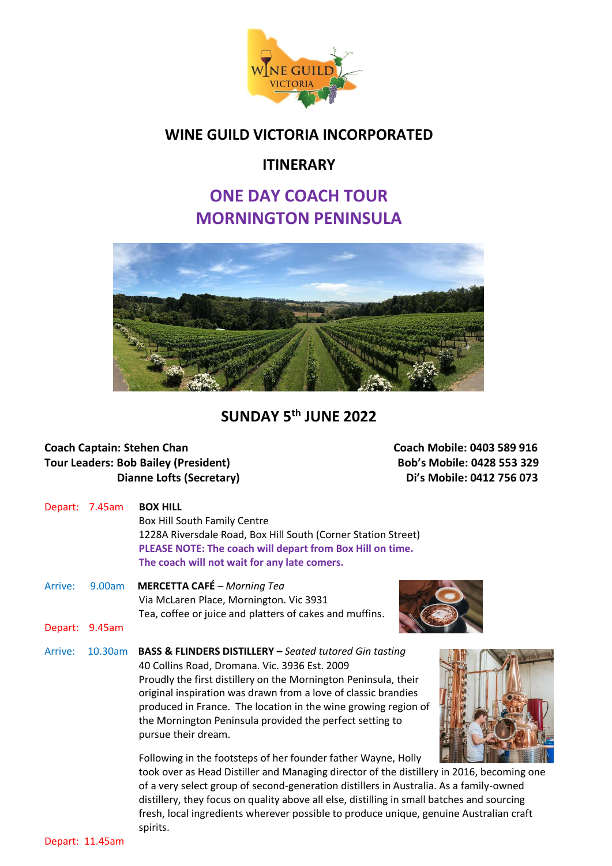

### **WINE GUILD VICTORIA INCORPORATED**

#### **ITINERARY**

## **ONE DAY COACH TOUR MORNINGTON PENINSULA**



## **SUNDAY 5 th JUNE 2022**

# **Coach Captain: Stehen Chan Coach Mobile: 0403 589 916 Tour Leaders: Bob Bailey (President) Bob's Mobile: 0428 553 329**

**Dianne Lofts (Secretary)** Di<sup>'</sup>s Mobile: 0412 756 073

|         | Depart: 7.45am | <b>BOX HILL</b><br>Box Hill South Family Centre<br>1228A Riversdale Road, Box Hill South (Corner Station Street)<br>PLEASE NOTE: The coach will depart from Box Hill on time.<br>The coach will not wait for any late comers.                                                                                                                                                                                 |
|---------|----------------|---------------------------------------------------------------------------------------------------------------------------------------------------------------------------------------------------------------------------------------------------------------------------------------------------------------------------------------------------------------------------------------------------------------|
| Arrive: | 9.00am         | <b>MERCETTA CAFÉ</b> - Morning Tea<br>Via McLaren Place, Mornington. Vic 3931<br>Tea, coffee or juice and platters of cakes and muffins.                                                                                                                                                                                                                                                                      |
| Depart: | 9.45am         |                                                                                                                                                                                                                                                                                                                                                                                                               |
| Arrive: | 10.30am        | <b>BASS &amp; FLINDERS DISTILLERY - Seated tutored Gin tasting</b><br>40 Collins Road, Dromana. Vic. 3936 Est. 2009<br>Proudly the first distillery on the Mornington Peninsula, their<br>original inspiration was drawn from a love of classic brandies<br>produced in France. The location in the wine growing region of<br>the Mornington Peninsula provided the perfect setting to<br>pursue their dream. |
|         |                | Following in the footsteps of her founder father Wayne, Holly<br>took over as Head Distiller and Managing director of the distillery in 2016, b                                                                                                                                                                                                                                                               |

becoming one of a very select group of second-generation distillers in Australia. As a family-owned distillery, they focus on quality above all else, distilling in small batches and sourcing fresh, local ingredients wherever possible to produce unique, genuine Australian craft spirits.